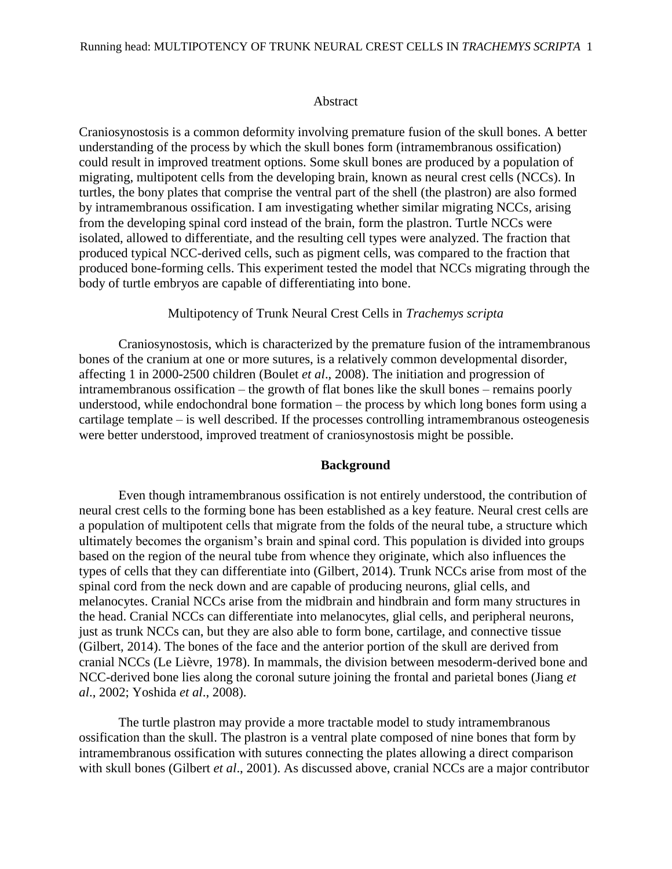### Abstract

Craniosynostosis is a common deformity involving premature fusion of the skull bones. A better understanding of the process by which the skull bones form (intramembranous ossification) could result in improved treatment options. Some skull bones are produced by a population of migrating, multipotent cells from the developing brain, known as neural crest cells (NCCs). In turtles, the bony plates that comprise the ventral part of the shell (the plastron) are also formed by intramembranous ossification. I am investigating whether similar migrating NCCs, arising from the developing spinal cord instead of the brain, form the plastron. Turtle NCCs were isolated, allowed to differentiate, and the resulting cell types were analyzed. The fraction that produced typical NCC-derived cells, such as pigment cells, was compared to the fraction that produced bone-forming cells. This experiment tested the model that NCCs migrating through the body of turtle embryos are capable of differentiating into bone.

## Multipotency of Trunk Neural Crest Cells in *Trachemys scripta*

Craniosynostosis, which is characterized by the premature fusion of the intramembranous bones of the cranium at one or more sutures, is a relatively common developmental disorder, affecting 1 in 2000-2500 children (Boulet *et al*., 2008). The initiation and progression of intramembranous ossification – the growth of flat bones like the skull bones – remains poorly understood, while endochondral bone formation – the process by which long bones form using a cartilage template – is well described. If the processes controlling intramembranous osteogenesis were better understood, improved treatment of craniosynostosis might be possible.

## **Background**

Even though intramembranous ossification is not entirely understood, the contribution of neural crest cells to the forming bone has been established as a key feature. Neural crest cells are a population of multipotent cells that migrate from the folds of the neural tube, a structure which ultimately becomes the organism's brain and spinal cord. This population is divided into groups based on the region of the neural tube from whence they originate, which also influences the types of cells that they can differentiate into (Gilbert, 2014). Trunk NCCs arise from most of the spinal cord from the neck down and are capable of producing neurons, glial cells, and melanocytes. Cranial NCCs arise from the midbrain and hindbrain and form many structures in the head. Cranial NCCs can differentiate into melanocytes, glial cells, and peripheral neurons, just as trunk NCCs can, but they are also able to form bone, cartilage, and connective tissue (Gilbert, 2014). The bones of the face and the anterior portion of the skull are derived from cranial NCCs (Le Lièvre, 1978). In mammals, the division between mesoderm-derived bone and NCC-derived bone lies along the coronal suture joining the frontal and parietal bones (Jiang *et al*., 2002; Yoshida *et al*., 2008).

The turtle plastron may provide a more tractable model to study intramembranous ossification than the skull. The plastron is a ventral plate composed of nine bones that form by intramembranous ossification with sutures connecting the plates allowing a direct comparison with skull bones (Gilbert *et al*., 2001). As discussed above, cranial NCCs are a major contributor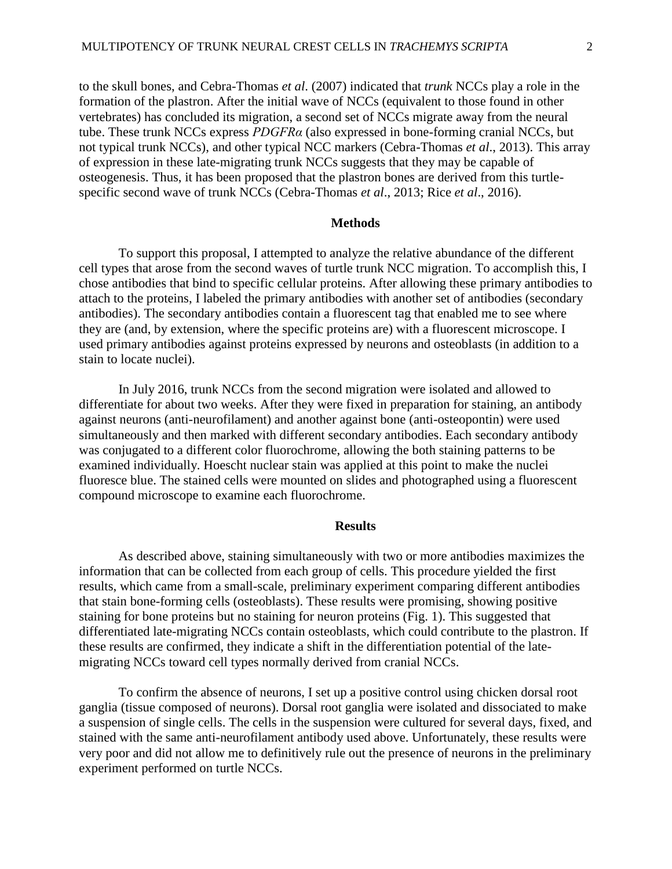to the skull bones, and Cebra-Thomas *et al*. (2007) indicated that *trunk* NCCs play a role in the formation of the plastron. After the initial wave of NCCs (equivalent to those found in other vertebrates) has concluded its migration, a second set of NCCs migrate away from the neural tube. These trunk NCCs express *PDGFRα* (also expressed in bone-forming cranial NCCs, but not typical trunk NCCs), and other typical NCC markers (Cebra-Thomas *et al*., 2013). This array of expression in these late-migrating trunk NCCs suggests that they may be capable of osteogenesis. Thus, it has been proposed that the plastron bones are derived from this turtlespecific second wave of trunk NCCs (Cebra-Thomas *et al*., 2013; Rice *et al*., 2016).

## **Methods**

To support this proposal, I attempted to analyze the relative abundance of the different cell types that arose from the second waves of turtle trunk NCC migration. To accomplish this, I chose antibodies that bind to specific cellular proteins. After allowing these primary antibodies to attach to the proteins, I labeled the primary antibodies with another set of antibodies (secondary antibodies). The secondary antibodies contain a fluorescent tag that enabled me to see where they are (and, by extension, where the specific proteins are) with a fluorescent microscope. I used primary antibodies against proteins expressed by neurons and osteoblasts (in addition to a stain to locate nuclei).

In July 2016, trunk NCCs from the second migration were isolated and allowed to differentiate for about two weeks. After they were fixed in preparation for staining, an antibody against neurons (anti-neurofilament) and another against bone (anti-osteopontin) were used simultaneously and then marked with different secondary antibodies. Each secondary antibody was conjugated to a different color fluorochrome, allowing the both staining patterns to be examined individually. Hoescht nuclear stain was applied at this point to make the nuclei fluoresce blue. The stained cells were mounted on slides and photographed using a fluorescent compound microscope to examine each fluorochrome.

# **Results**

As described above, staining simultaneously with two or more antibodies maximizes the information that can be collected from each group of cells. This procedure yielded the first results, which came from a small-scale, preliminary experiment comparing different antibodies that stain bone-forming cells (osteoblasts). These results were promising, showing positive staining for bone proteins but no staining for neuron proteins (Fig. 1). This suggested that differentiated late-migrating NCCs contain osteoblasts, which could contribute to the plastron. If these results are confirmed, they indicate a shift in the differentiation potential of the latemigrating NCCs toward cell types normally derived from cranial NCCs.

To confirm the absence of neurons, I set up a positive control using chicken dorsal root ganglia (tissue composed of neurons). Dorsal root ganglia were isolated and dissociated to make a suspension of single cells. The cells in the suspension were cultured for several days, fixed, and stained with the same anti-neurofilament antibody used above. Unfortunately, these results were very poor and did not allow me to definitively rule out the presence of neurons in the preliminary experiment performed on turtle NCCs.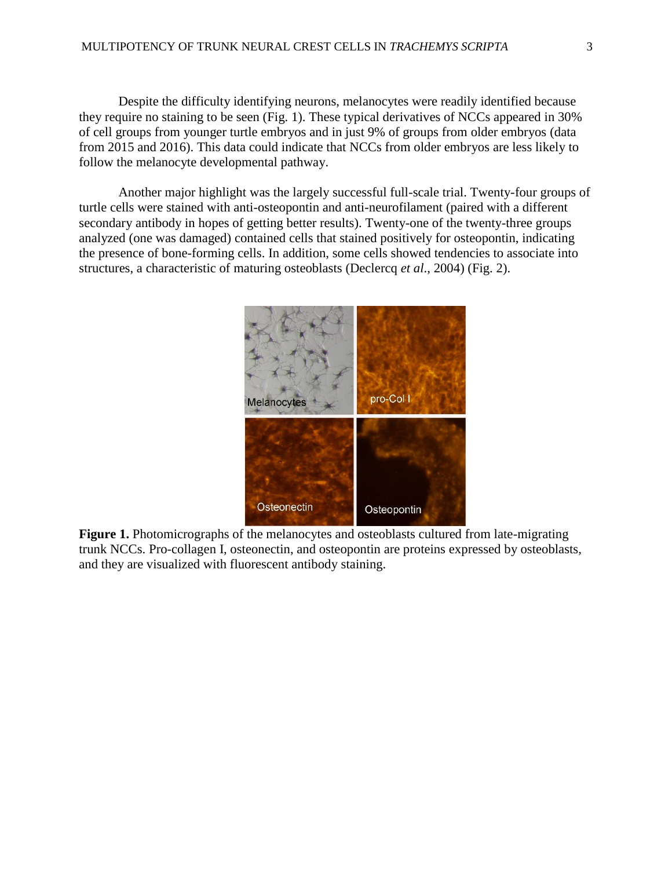Despite the difficulty identifying neurons, melanocytes were readily identified because they require no staining to be seen (Fig. 1). These typical derivatives of NCCs appeared in 30% of cell groups from younger turtle embryos and in just 9% of groups from older embryos (data from 2015 and 2016). This data could indicate that NCCs from older embryos are less likely to follow the melanocyte developmental pathway.

Another major highlight was the largely successful full-scale trial. Twenty-four groups of turtle cells were stained with anti-osteopontin and anti-neurofilament (paired with a different secondary antibody in hopes of getting better results). Twenty-one of the twenty-three groups analyzed (one was damaged) contained cells that stained positively for osteopontin, indicating the presence of bone-forming cells. In addition, some cells showed tendencies to associate into structures, a characteristic of maturing osteoblasts (Declercq *et al*., 2004) (Fig. 2).



**Figure 1.** Photomicrographs of the melanocytes and osteoblasts cultured from late-migrating trunk NCCs. Pro-collagen I, osteonectin, and osteopontin are proteins expressed by osteoblasts, and they are visualized with fluorescent antibody staining.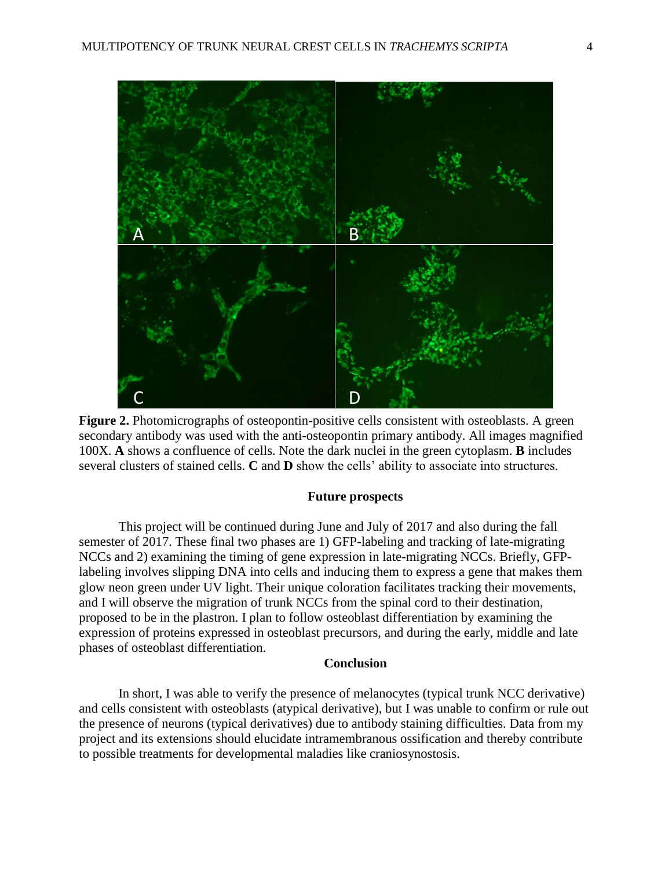

**Figure 2.** Photomicrographs of osteopontin-positive cells consistent with osteoblasts. A green secondary antibody was used with the anti-osteopontin primary antibody. All images magnified 100X. **A** shows a confluence of cells. Note the dark nuclei in the green cytoplasm. **B** includes several clusters of stained cells. **C** and **D** show the cells' ability to associate into structures.

## **Future prospects**

This project will be continued during June and July of 2017 and also during the fall semester of 2017. These final two phases are 1) GFP-labeling and tracking of late-migrating NCCs and 2) examining the timing of gene expression in late-migrating NCCs. Briefly, GFPlabeling involves slipping DNA into cells and inducing them to express a gene that makes them glow neon green under UV light. Their unique coloration facilitates tracking their movements, and I will observe the migration of trunk NCCs from the spinal cord to their destination, proposed to be in the plastron. I plan to follow osteoblast differentiation by examining the expression of proteins expressed in osteoblast precursors, and during the early, middle and late phases of osteoblast differentiation.

### **Conclusion**

In short, I was able to verify the presence of melanocytes (typical trunk NCC derivative) and cells consistent with osteoblasts (atypical derivative), but I was unable to confirm or rule out the presence of neurons (typical derivatives) due to antibody staining difficulties. Data from my project and its extensions should elucidate intramembranous ossification and thereby contribute to possible treatments for developmental maladies like craniosynostosis.